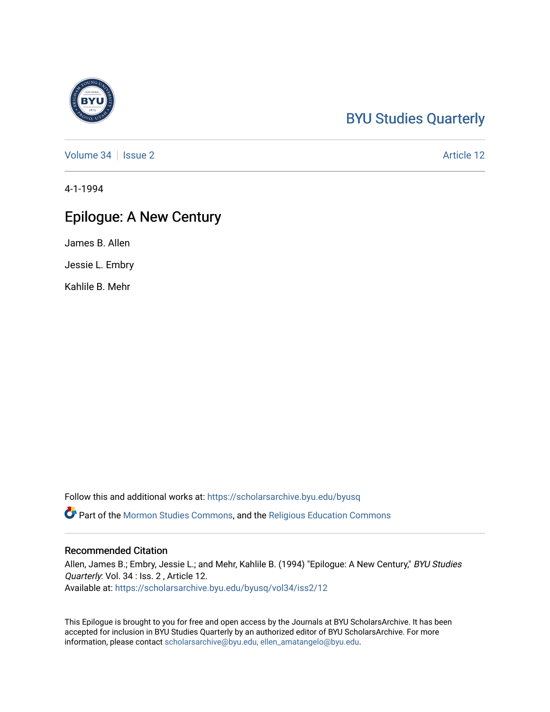### [BYU Studies Quarterly](https://scholarsarchive.byu.edu/byusq)

[Volume 34](https://scholarsarchive.byu.edu/byusq/vol34) | [Issue 2](https://scholarsarchive.byu.edu/byusq/vol34/iss2) Article 12

4-1-1994

#### Epilogue: A New Century

James B. Allen

Jessie L. Embry

Kahlile B. Mehr

Follow this and additional works at: [https://scholarsarchive.byu.edu/byusq](https://scholarsarchive.byu.edu/byusq?utm_source=scholarsarchive.byu.edu%2Fbyusq%2Fvol34%2Fiss2%2F12&utm_medium=PDF&utm_campaign=PDFCoverPages) 

Part of the [Mormon Studies Commons](http://network.bepress.com/hgg/discipline/1360?utm_source=scholarsarchive.byu.edu%2Fbyusq%2Fvol34%2Fiss2%2F12&utm_medium=PDF&utm_campaign=PDFCoverPages), and the [Religious Education Commons](http://network.bepress.com/hgg/discipline/1414?utm_source=scholarsarchive.byu.edu%2Fbyusq%2Fvol34%2Fiss2%2F12&utm_medium=PDF&utm_campaign=PDFCoverPages) 

#### Recommended Citation

Allen, James B.; Embry, Jessie L.; and Mehr, Kahlile B. (1994) "Epilogue: A New Century," BYU Studies Quarterly: Vol. 34 : Iss. 2 , Article 12. Available at: [https://scholarsarchive.byu.edu/byusq/vol34/iss2/12](https://scholarsarchive.byu.edu/byusq/vol34/iss2/12?utm_source=scholarsarchive.byu.edu%2Fbyusq%2Fvol34%2Fiss2%2F12&utm_medium=PDF&utm_campaign=PDFCoverPages) 

This Epilogue is brought to you for free and open access by the Journals at BYU ScholarsArchive. It has been accepted for inclusion in BYU Studies Quarterly by an authorized editor of BYU ScholarsArchive. For more information, please contact [scholarsarchive@byu.edu, ellen\\_amatangelo@byu.edu.](mailto:scholarsarchive@byu.edu,%20ellen_amatangelo@byu.edu)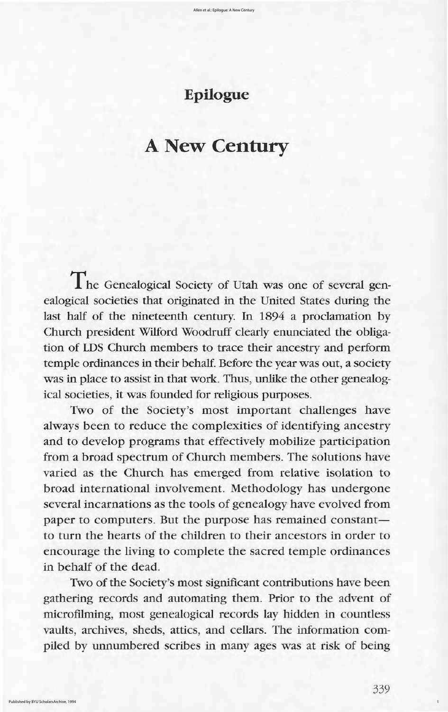The Genealogical Society of Utah was one of several genealogical societies that originated in the United States during the last half of the nineteenth century. In 1894 a proclamation by church president wilford woodruff clearly enunciated the obligation of LDS church members to trace their ancestry and perform temple ordinances in their behalf. Before the year was out, a society was in place to assist in that work. Thus, unlike the other genealogical societies, it was founded for religious purposes. Two of the Society's most important challenges have always been to reduce the complexities of identifying ancestry and to develop programs that effectively mobilize participation from a broad spectrum of Church members. The solutions have varied as the church has emerged from relative isolation to broad international involvement. Methodology has undergone several incarnations as the tools of genealogy have evolved from paper to computers. But the purpose has remained constant to turn the hearts of the children to their ancestors in order to encourage the living to complete the sacred temple ordinances in behalf of the dead

Two of the Society's most significant contributions have been gathering records and automating them. Prior to the advent of microfilming, most genealogical records lay hidden in countless vaults, archives, sheds, attics, and cellars. The information compiled by unnumbered scribes in many ages was at risk of being

339

1

# Epilogue

# A New Century  $\mathcal{L}^{\prime}$  to  $\mathcal{L}^{\prime}$  . The statistical properties of the statistic statistic statistic statistic statistic statistic statistic statistic statistic statistic statistic statistic statistic statistic statistic statis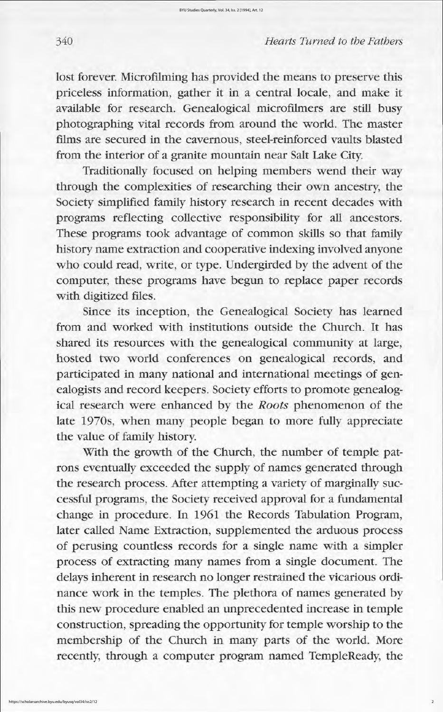lost forever. Microfilming has provided the means to preserve this priceless information, gather it in a central locale, and make it available for research. Genealogical microfilmers are still busy photographing vital records from around the world. The master films are secured in the cavernous, steel-reinforced vaults blasted from the interior of a granite mountain near salt lake city

Traditionally focused on helping members wend their way through the complexities of researching their own ancestry, the society simplified family history research in recent decades with programs reflecting collective responsibility for all ancestors These programs took advantage of common skills so that family history name extraction and cooperative indexing involved anyone who could read, write, or type. Undergirded by the advent of the computer, these programs have begun to replace paper records with digitized files.

Since its inception, the Genealogical Society has learned from and worked with institutions outside the Church. It has shared its resources with the genealogical community at large, hosted two world conferences on genealogical records, and participated in many national and international meetings of genealogists and record keepers. Society efforts to promote genealogical research were enhanced by the Roots phenomenon of the late 1970s, when many people began to more fully appreciate the value of family history With the growth of the Church, the number of temple patrons eventually exceeded the supply of names generated through the research process. After attempting a variety of marginally successful programs, the Society received approval for a fundamental change in procedure. In 1961 the Records Tabulation Program, later called Name Extraction, supplemented the arduous process of perusing countless records for a single name with a simpler process of extracting many names from a single document. The delays inherent in research no longer restrained the vicarious ordinance work in the temples. The plethora of names generated by this new procedure enabled an unprecedented increase in temple construction, spreading the opportunity for temple worship to the membership of the Church in many parts of the world. More recently, through a computer program named TempleReady, the

## 340 *Hearts Turned to the Fathers*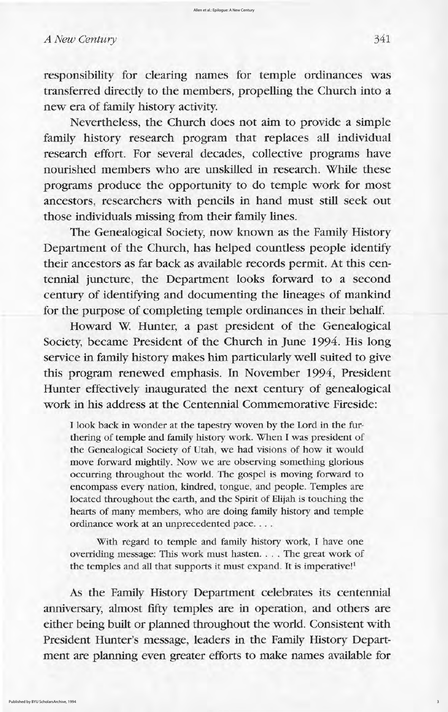responsibility for clearing names for temple ordinances was transferred directly to the members, propelling the Church into a new era of family history activity

Nevertheless, the Church does not aim to provide a simple family history research program that replaces all individual research effort. For several decades, collective programs have nourished members who are unskilled in research. While these programs produce the opportunity to do temple work for most ancestors, researchers with pencils in hand must still seek out those individuals missing from their family lines

The Genealogical Society, now known as the Family History Department of the Church, has helped countless people identify their ancestors as far back as available records permit. At this centennial juncture, the Department looks forward to a second century of identifying and documenting the lineages of mankind for the purpose of completing temple ordinances in their behalf.

Howard W. Hunter, a past president of the Genealogical Society, became President of the Church in June 1994. His long service in family history makes him particularly well suited to give

As the Family History Department celebrates its centennial anniversary, almost fifty temples are in operation, and others are either being built or planned throughout the world. Consistent with President Hunter's message, leaders in the Family History Department are planning even greater efforts to make names available for

3

this program renewed emphasis. In November 1994, President hunter effectively inaugurated the next century of genealogical work in his address at the Centennial Commemorative Fireside:

I look back in wonder at the tapestry woven by the Lord in the furthering of temple and family history work. When I was president of the Genealogical Society of Utah, we had visions of how it would move forward mightily. Now we are observing something glorious occurring throughout the world. The gospel is moving forward to encompass every nation, kindred, tongue, and people. Temples are located throughout the earth, and the Spirit of Elijah is touching the hearts of many members, who are doing family history and temple ordinance work at an unprecedented pace....

With regard to temple and family history work, I have one overriding message: This work must hasten. . . . The great work of the temples and all that supports it must expand. It is imperative!<sup>1</sup>

## A New Century 341